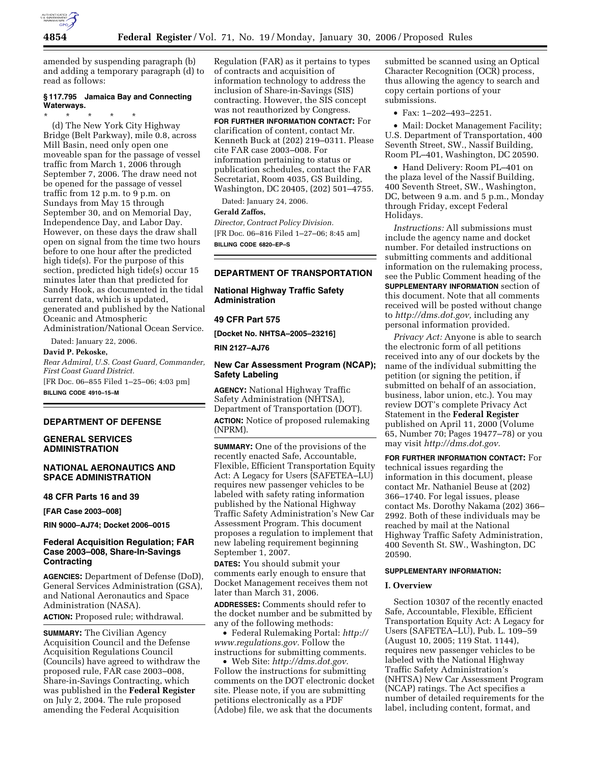

amended by suspending paragraph (b) and adding a temporary paragraph (d) to read as follows:

# **§ 117.795 Jamaica Bay and Connecting Waterways.**

\* \* \* \* \* (d) The New York City Highway Bridge (Belt Parkway), mile 0.8, across Mill Basin, need only open one moveable span for the passage of vessel traffic from March 1, 2006 through September 7, 2006. The draw need not be opened for the passage of vessel traffic from 12 p.m. to 9 p.m. on Sundays from May 15 through September 30, and on Memorial Day, Independence Day, and Labor Day. However, on these days the draw shall open on signal from the time two hours before to one hour after the predicted high tide(s). For the purpose of this section, predicted high tide(s) occur 15 minutes later than that predicted for Sandy Hook, as documented in the tidal current data, which is updated, generated and published by the National Oceanic and Atmospheric Administration/National Ocean Service.

Dated: January 22, 2006.

#### **David P. Pekoske,**

*Rear Admiral, U.S. Coast Guard, Commander, First Coast Guard District.*  [FR Doc. 06–855 Filed 1–25–06; 4:03 pm]

**BILLING CODE 4910–15–M** 

#### **DEPARTMENT OF DEFENSE**

# **GENERAL SERVICES ADMINISTRATION**

## **NATIONAL AERONAUTICS AND SPACE ADMINISTRATION**

#### **48 CFR Parts 16 and 39**

**[FAR Case 2003–008]** 

**RIN 9000–AJ74; Docket 2006–0015** 

# **Federal Acquisition Regulation; FAR Case 2003–008, Share-In-Savings Contracting**

**AGENCIES:** Department of Defense (DoD), General Services Administration (GSA), and National Aeronautics and Space Administration (NASA). **ACTION:** Proposed rule; withdrawal.

**SUMMARY:** The Civilian Agency Acquisition Council and the Defense Acquisition Regulations Council (Councils) have agreed to withdraw the proposed rule, FAR case 2003–008, Share-in-Savings Contracting, which was published in the **Federal Register**  on July 2, 2004. The rule proposed amending the Federal Acquisition

Regulation (FAR) as it pertains to types of contracts and acquisition of information technology to address the inclusion of Share-in-Savings (SIS) contracting. However, the SIS concept was not reauthorized by Congress.

**FOR FURTHER INFORMATION CONTACT:** For clarification of content, contact Mr. Kenneth Buck at (202) 219–0311. Please cite FAR case 2003–008. For information pertaining to status or publication schedules, contact the FAR Secretariat, Room 4035, GS Building, Washington, DC 20405, (202) 501–4755.

Dated: January 24, 2006.

## **Gerald Zaffos,**

*Director, Contract Policy Division.*  [FR Doc. 06–816 Filed 1–27–06; 8:45 am] **BILLING CODE 6820–EP–S** 

# **DEPARTMENT OF TRANSPORTATION**

**National Highway Traffic Safety Administration** 

#### **49 CFR Part 575**

**[Docket No. NHTSA–2005–23216]** 

**RIN 2127–AJ76** 

# **New Car Assessment Program (NCAP); Safety Labeling**

**AGENCY:** National Highway Traffic Safety Administration (NHTSA), Department of Transportation (DOT). **ACTION:** Notice of proposed rulemaking (NPRM).

**SUMMARY:** One of the provisions of the recently enacted Safe, Accountable, Flexible, Efficient Transportation Equity Act: A Legacy for Users (SAFETEA–LU) requires new passenger vehicles to be labeled with safety rating information published by the National Highway Traffic Safety Administration's New Car Assessment Program. This document proposes a regulation to implement that new labeling requirement beginning September 1, 2007.

**DATES:** You should submit your comments early enough to ensure that Docket Management receives them not later than March 31, 2006.

**ADDRESSES:** Comments should refer to the docket number and be submitted by any of the following methods:

• Federal Rulemaking Portal: *http:// www.regulations.gov.* Follow the instructions for submitting comments.

• Web Site: *http://dms.dot.gov.*  Follow the instructions for submitting comments on the DOT electronic docket site. Please note, if you are submitting petitions electronically as a PDF (Adobe) file, we ask that the documents

submitted be scanned using an Optical Character Recognition (OCR) process, thus allowing the agency to search and copy certain portions of your submissions.

• Fax: 1–202–493–2251.

• Mail: Docket Management Facility; U.S. Department of Transportation, 400 Seventh Street, SW., Nassif Building, Room PL–401, Washington, DC 20590.

• Hand Delivery: Room PL–401 on the plaza level of the Nassif Building, 400 Seventh Street, SW., Washington, DC, between 9 a.m. and 5 p.m., Monday through Friday, except Federal Holidays.

*Instructions:* All submissions must include the agency name and docket number. For detailed instructions on submitting comments and additional information on the rulemaking process, see the Public Comment heading of the **SUPPLEMENTARY INFORMATION** section of this document. Note that all comments received will be posted without change to *http://dms.dot.gov,* including any personal information provided.

*Privacy Act:* Anyone is able to search the electronic form of all petitions received into any of our dockets by the name of the individual submitting the petition (or signing the petition, if submitted on behalf of an association, business, labor union, etc.). You may review DOT's complete Privacy Act Statement in the **Federal Register**  published on April 11, 2000 (Volume 65, Number 70; Pages 19477–78) or you may visit *http://dms.dot.gov.* 

**FOR FURTHER INFORMATION CONTACT:** For technical issues regarding the information in this document, please contact Mr. Nathaniel Beuse at (202) 366–1740. For legal issues, please contact Ms. Dorothy Nakama (202) 366– 2992. Both of these individuals may be reached by mail at the National Highway Traffic Safety Administration, 400 Seventh St. SW., Washington, DC 20590.

## **SUPPLEMENTARY INFORMATION:**

#### **I. Overview**

Section 10307 of the recently enacted Safe, Accountable, Flexible, Efficient Transportation Equity Act: A Legacy for Users (SAFETEA–LU), Pub. L. 109–59 (August 10, 2005; 119 Stat. 1144), requires new passenger vehicles to be labeled with the National Highway Traffic Safety Administration's (NHTSA) New Car Assessment Program (NCAP) ratings. The Act specifies a number of detailed requirements for the label, including content, format, and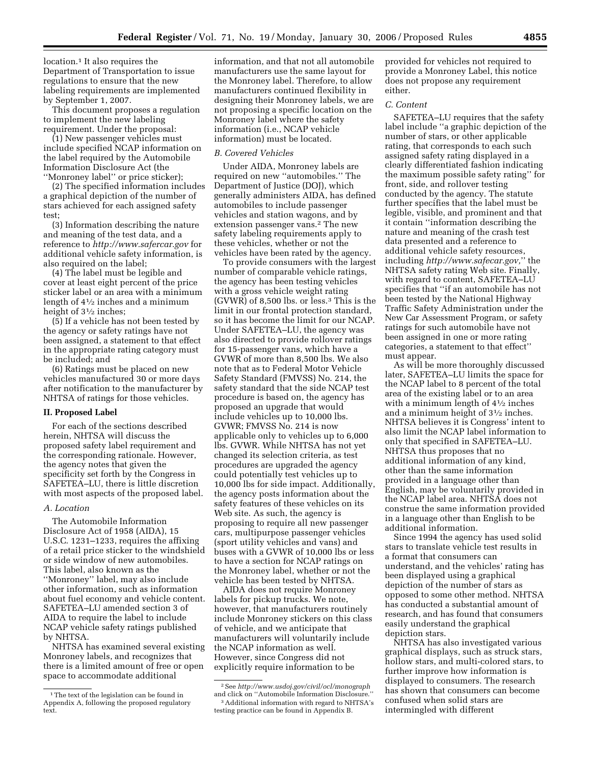location.<sup>1</sup> It also requires the Department of Transportation to issue regulations to ensure that the new labeling requirements are implemented by September 1, 2007.

This document proposes a regulation to implement the new labeling requirement. Under the proposal:

(1) New passenger vehicles must include specified NCAP information on the label required by the Automobile Information Disclosure Act (the ''Monroney label'' or price sticker);

(2) The specified information includes a graphical depiction of the number of stars achieved for each assigned safety test;

(3) Information describing the nature and meaning of the test data, and a reference to *http://www.safercar.gov* for additional vehicle safety information, is also required on the label;

(4) The label must be legible and cover at least eight percent of the price sticker label or an area with a minimum length of  $4\frac{1}{2}$  inches and a minimum height of  $3\frac{1}{2}$  inches;

(5) If a vehicle has not been tested by the agency or safety ratings have not been assigned, a statement to that effect in the appropriate rating category must be included; and

(6) Ratings must be placed on new vehicles manufactured 30 or more days after notification to the manufacturer by NHTSA of ratings for those vehicles.

#### **II. Proposed Label**

For each of the sections described herein, NHTSA will discuss the proposed safety label requirement and the corresponding rationale. However, the agency notes that given the specificity set forth by the Congress in SAFETEA–LU, there is little discretion with most aspects of the proposed label.

#### *A. Location*

The Automobile Information Disclosure Act of 1958 (AIDA), 15 U.S.C. 1231–1233, requires the affixing of a retail price sticker to the windshield or side window of new automobiles. This label, also known as the ''Monroney'' label, may also include other information, such as information about fuel economy and vehicle content. SAFETEA–LU amended section 3 of AIDA to require the label to include NCAP vehicle safety ratings published by NHTSA.

NHTSA has examined several existing Monroney labels, and recognizes that there is a limited amount of free or open space to accommodate additional

information, and that not all automobile manufacturers use the same layout for the Monroney label. Therefore, to allow manufacturers continued flexibility in designing their Monroney labels, we are not proposing a specific location on the Monroney label where the safety information (i.e., NCAP vehicle information) must be located.

#### *B. Covered Vehicles*

Under AIDA, Monroney labels are required on new ''automobiles.'' The Department of Justice (DOJ), which generally administers AIDA, has defined automobiles to include passenger vehicles and station wagons, and by extension passenger vans.2 The new safety labeling requirements apply to these vehicles, whether or not the vehicles have been rated by the agency.

To provide consumers with the largest number of comparable vehicle ratings, the agency has been testing vehicles with a gross vehicle weight rating (GVWR) of 8,500 lbs. or less.3 This is the limit in our frontal protection standard, so it has become the limit for our NCAP. Under SAFETEA–LU, the agency was also directed to provide rollover ratings for 15-passenger vans, which have a GVWR of more than 8,500 lbs. We also note that as to Federal Motor Vehicle Safety Standard (FMVSS) No. 214, the safety standard that the side NCAP test procedure is based on, the agency has proposed an upgrade that would include vehicles up to 10,000 lbs. GVWR; FMVSS No. 214 is now applicable only to vehicles up to 6,000 lbs. GVWR. While NHTSA has not yet changed its selection criteria, as test procedures are upgraded the agency could potentially test vehicles up to 10,000 lbs for side impact. Additionally, the agency posts information about the safety features of these vehicles on its Web site. As such, the agency is proposing to require all new passenger cars, multipurpose passenger vehicles (sport utility vehicles and vans) and buses with a GVWR of 10,000 lbs or less to have a section for NCAP ratings on the Monroney label, whether or not the vehicle has been tested by NHTSA.

AIDA does not require Monroney labels for pickup trucks. We note, however, that manufacturers routinely include Monroney stickers on this class of vehicle, and we anticipate that manufacturers will voluntarily include the NCAP information as well. However, since Congress did not explicitly require information to be

provided for vehicles not required to provide a Monroney Label, this notice does not propose any requirement either.

#### *C. Content*

SAFETEA–LU requires that the safety label include ''a graphic depiction of the number of stars, or other applicable rating, that corresponds to each such assigned safety rating displayed in a clearly differentiated fashion indicating the maximum possible safety rating'' for front, side, and rollover testing conducted by the agency. The statute further specifies that the label must be legible, visible, and prominent and that it contain ''information describing the nature and meaning of the crash test data presented and a reference to additional vehicle safety resources, including *http://www.safecar.gov,*'' the NHTSA safety rating Web site. Finally, with regard to content, SAFETEA–LU specifies that ''if an automobile has not been tested by the National Highway Traffic Safety Administration under the New Car Assessment Program, or safety ratings for such automobile have not been assigned in one or more rating categories, a statement to that effect'' must appear.

As will be more thoroughly discussed later, SAFETEA–LU limits the space for the NCAP label to 8 percent of the total area of the existing label or to an area with a minimum length of 41⁄2 inches and a minimum height of 31⁄2 inches. NHTSA believes it is Congress' intent to also limit the NCAP label information to only that specified in SAFETEA–LU. NHTSA thus proposes that no additional information of any kind, other than the same information provided in a language other than English, may be voluntarily provided in the NCAP label area. NHTSA does not construe the same information provided in a language other than English to be additional information.

Since 1994 the agency has used solid stars to translate vehicle test results in a format that consumers can understand, and the vehicles' rating has been displayed using a graphical depiction of the number of stars as opposed to some other method. NHTSA has conducted a substantial amount of research, and has found that consumers easily understand the graphical depiction stars.

NHTSA has also investigated various graphical displays, such as struck stars, hollow stars, and multi-colored stars, to further improve how information is displayed to consumers. The research has shown that consumers can become confused when solid stars are intermingled with different

<sup>&</sup>lt;sup>1</sup>The text of the legislation can be found in Appendix A, following the proposed regulatory text.

<sup>2</sup>See *http://www.usdoj.gov/civil/ocl/monograph*  and click on ''Automobile Information Disclosure.'' 3Additional information with regard to NHTSA's

testing practice can be found in Appendix B.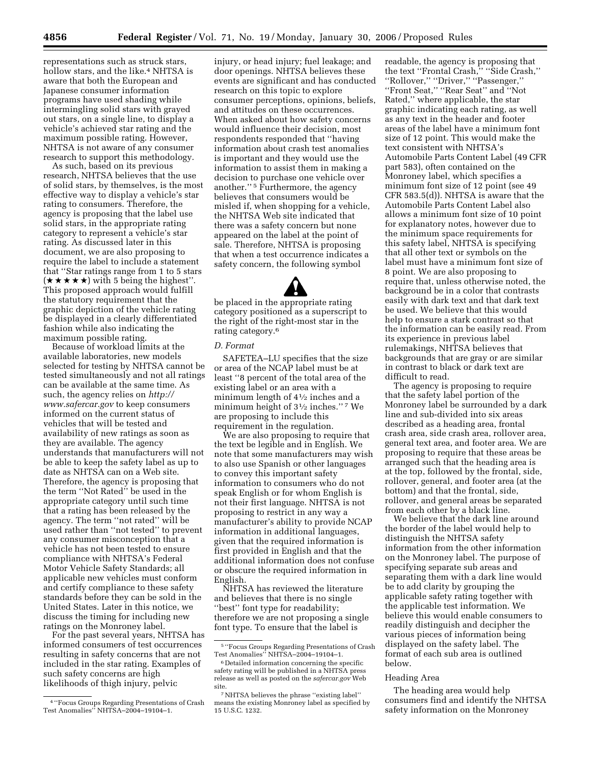representations such as struck stars, hollow stars, and the like.<sup>4</sup> NHTSA is aware that both the European and Japanese consumer information programs have used shading while intermingling solid stars with grayed out stars, on a single line, to display a vehicle's achieved star rating and the maximum possible rating. However, NHTSA is not aware of any consumer research to support this methodology.

As such, based on its previous research, NHTSA believes that the use of solid stars, by themselves, is the most effective way to display a vehicle's star rating to consumers. Therefore, the agency is proposing that the label use solid stars, in the appropriate rating category to represent a vehicle's star rating. As discussed later in this document, we are also proposing to require the label to include a statement that ''Star ratings range from 1 to 5 stars  $(\star \star \star \star \star)$  with 5 being the highest". This proposed approach would fulfill the statutory requirement that the graphic depiction of the vehicle rating be displayed in a clearly differentiated fashion while also indicating the maximum possible rating.

Because of workload limits at the available laboratories, new models selected for testing by NHTSA cannot be tested simultaneously and not all ratings can be available at the same time. As such, the agency relies on *http:// www.safercar.gov* to keep consumers informed on the current status of vehicles that will be tested and availability of new ratings as soon as they are available. The agency understands that manufacturers will not be able to keep the safety label as up to date as NHTSA can on a Web site. Therefore, the agency is proposing that the term ''Not Rated'' be used in the appropriate category until such time that a rating has been released by the agency. The term ''not rated'' will be used rather than ''not tested'' to prevent any consumer misconception that a vehicle has not been tested to ensure compliance with NHTSA's Federal Motor Vehicle Safety Standards; all applicable new vehicles must conform and certify compliance to these safety standards before they can be sold in the United States. Later in this notice, we discuss the timing for including new ratings on the Monroney label.

For the past several years, NHTSA has informed consumers of test occurrences resulting in safety concerns that are not included in the star rating. Examples of such safety concerns are high likelihoods of thigh injury, pelvic

injury, or head injury; fuel leakage; and door openings. NHTSA believes these events are significant and has conducted research on this topic to explore consumer perceptions, opinions, beliefs, and attitudes on these occurrences. When asked about how safety concerns would influence their decision, most respondents responded that ''having information about crash test anomalies is important and they would use the information to assist them in making a decision to purchase one vehicle over another.'' 5 Furthermore, the agency believes that consumers would be misled if, when shopping for a vehicle, the NHTSA Web site indicated that there was a safety concern but none appeared on the label at the point of sale. Therefore, NHTSA is proposing that when a test occurrence indicates a safety concern, the following symbol

be placed in the appropriate rating category positioned as a superscript to the right of the right-most star in the rating category.6

#### *D. Format*

SAFETEA–LU specifies that the size or area of the NCAP label must be at least ''8 percent of the total area of the existing label or an area with a minimum length of 41⁄2 inches and a minimum height of  $3\frac{1}{2}$  inches."<sup>7</sup> We are proposing to include this requirement in the regulation.

We are also proposing to require that the text be legible and in English. We note that some manufacturers may wish to also use Spanish or other languages to convey this important safety information to consumers who do not speak English or for whom English is not their first language. NHTSA is not proposing to restrict in any way a manufacturer's ability to provide NCAP information in additional languages, given that the required information is first provided in English and that the additional information does not confuse or obscure the required information in English.

NHTSA has reviewed the literature and believes that there is no single ''best'' font type for readability; therefore we are not proposing a single font type. To ensure that the label is

readable, the agency is proposing that the text ''Frontal Crash,'' ''Side Crash,'' ''Rollover,'' ''Driver,'' ''Passenger,'' ''Front Seat,'' ''Rear Seat'' and ''Not Rated,'' where applicable, the star graphic indicating each rating, as well as any text in the header and footer areas of the label have a minimum font size of 12 point. This would make the text consistent with NHTSA's Automobile Parts Content Label (49 CFR part 583), often contained on the Monroney label, which specifies a minimum font size of 12 point (see 49 CFR 583.5(d)). NHTSA is aware that the Automobile Parts Content Label also allows a minimum font size of 10 point for explanatory notes, however due to the minimum space requirements for this safety label, NHTSA is specifying that all other text or symbols on the label must have a minimum font size of 8 point. We are also proposing to require that, unless otherwise noted, the background be in a color that contrasts easily with dark text and that dark text be used. We believe that this would help to ensure a stark contrast so that the information can be easily read. From its experience in previous label rulemakings, NHTSA believes that backgrounds that are gray or are similar in contrast to black or dark text are difficult to read.

The agency is proposing to require that the safety label portion of the Monroney label be surrounded by a dark line and sub-divided into six areas described as a heading area, frontal crash area, side crash area, rollover area, general text area, and footer area. We are proposing to require that these areas be arranged such that the heading area is at the top, followed by the frontal, side, rollover, general, and footer area (at the bottom) and that the frontal, side, rollover, and general areas be separated from each other by a black line.

We believe that the dark line around the border of the label would help to distinguish the NHTSA safety information from the other information on the Monroney label. The purpose of specifying separate sub areas and separating them with a dark line would be to add clarity by grouping the applicable safety rating together with the applicable test information. We believe this would enable consumers to readily distinguish and decipher the various pieces of information being displayed on the safety label. The format of each sub area is outlined below.

#### Heading Area

The heading area would help consumers find and identify the NHTSA safety information on the Monroney

<sup>4</sup> ''Focus Groups Regarding Presentations of Crash Test Anomalies'' NHTSA–2004–19104–1.

<sup>5</sup> ''Focus Groups Regarding Presentations of Crash Test Anomalies" NHTSA-2004-19104-1.

<sup>6</sup> Detailed information concerning the specific safety rating will be published in a NHTSA press release as well as posted on the *safercar.gov* Web site.

<sup>7</sup>NHTSA believes the phrase ''existing label'' means the existing Monroney label as specified by 15 U.S.C. 1232.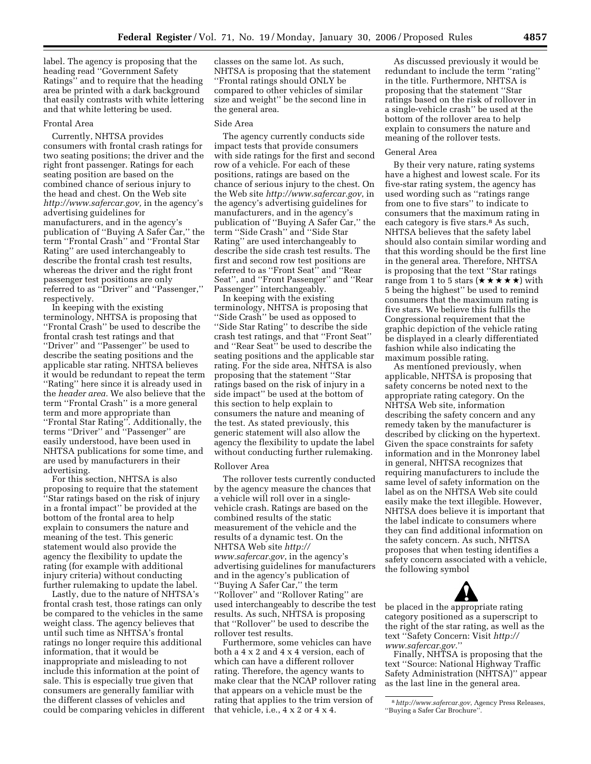label. The agency is proposing that the heading read ''Government Safety Ratings'' and to require that the heading area be printed with a dark background that easily contrasts with white lettering and that white lettering be used.

#### Frontal Area

Currently, NHTSA provides consumers with frontal crash ratings for two seating positions; the driver and the right front passenger. Ratings for each seating position are based on the combined chance of serious injury to the head and chest. On the Web site *http://www.safercar.gov,* in the agency's advertising guidelines for manufacturers, and in the agency's publication of ''Buying A Safer Car,'' the term ''Frontal Crash'' and ''Frontal Star Rating'' are used interchangeably to describe the frontal crash test results, whereas the driver and the right front passenger test positions are only referred to as ''Driver'' and ''Passenger,'' respectively.

In keeping with the existing terminology, NHTSA is proposing that ''Frontal Crash'' be used to describe the frontal crash test ratings and that ''Driver'' and ''Passenger'' be used to describe the seating positions and the applicable star rating. NHTSA believes it would be redundant to repeat the term ''Rating'' here since it is already used in the *header area.* We also believe that the term ''Frontal Crash'' is a more general term and more appropriate than ''Frontal Star Rating''. Additionally, the terms ''Driver'' and ''Passenger'' are easily understood, have been used in NHTSA publications for some time, and are used by manufacturers in their advertising.

For this section, NHTSA is also proposing to require that the statement ''Star ratings based on the risk of injury in a frontal impact'' be provided at the bottom of the frontal area to help explain to consumers the nature and meaning of the test. This generic statement would also provide the agency the flexibility to update the rating (for example with additional injury criteria) without conducting further rulemaking to update the label.

Lastly, due to the nature of NHTSA's frontal crash test, those ratings can only be compared to the vehicles in the same weight class. The agency believes that until such time as NHTSA's frontal ratings no longer require this additional information, that it would be inappropriate and misleading to not include this information at the point of sale. This is especially true given that consumers are generally familiar with the different classes of vehicles and could be comparing vehicles in different

classes on the same lot. As such, NHTSA is proposing that the statement ''Frontal ratings should ONLY be compared to other vehicles of similar size and weight'' be the second line in the general area.

#### Side Area

The agency currently conducts side impact tests that provide consumers with side ratings for the first and second row of a vehicle. For each of these positions, ratings are based on the chance of serious injury to the chest. On the Web site *http://www.safercar.gov*, in the agency's advertising guidelines for manufacturers, and in the agency's publication of "Buying A Safer Car," the term ''Side Crash'' and ''Side Star Rating'' are used interchangeably to describe the side crash test results. The first and second row test positions are referred to as ''Front Seat'' and ''Rear Seat'', and ''Front Passenger'' and ''Rear Passenger'' interchangeably.

In keeping with the existing terminology, NHTSA is proposing that ''Side Crash'' be used as opposed to ''Side Star Rating'' to describe the side crash test ratings, and that ''Front Seat'' and ''Rear Seat'' be used to describe the seating positions and the applicable star rating. For the side area, NHTSA is also proposing that the statement ''Star ratings based on the risk of injury in a side impact'' be used at the bottom of this section to help explain to consumers the nature and meaning of the test. As stated previously, this generic statement will also allow the agency the flexibility to update the label without conducting further rulemaking.

#### Rollover Area

The rollover tests currently conducted by the agency measure the chances that a vehicle will roll over in a singlevehicle crash. Ratings are based on the combined results of the static measurement of the vehicle and the results of a dynamic test. On the NHTSA Web site *http:// www.safercar.gov*, in the agency's advertising guidelines for manufacturers and in the agency's publication of ''Buying A Safer Car,'' the term ''Rollover'' and ''Rollover Rating'' are used interchangeably to describe the test results. As such, NHTSA is proposing that ''Rollover'' be used to describe the rollover test results.

Furthermore, some vehicles can have both a 4 x 2 and 4 x 4 version, each of which can have a different rollover rating. Therefore, the agency wants to make clear that the NCAP rollover rating that appears on a vehicle must be the rating that applies to the trim version of that vehicle, i.e., 4 x 2 or 4 x 4.

As discussed previously it would be redundant to include the term ''rating'' in the title. Furthermore, NHTSA is proposing that the statement ''Star ratings based on the risk of rollover in a single-vehicle crash'' be used at the bottom of the rollover area to help explain to consumers the nature and meaning of the rollover tests.

#### General Area

By their very nature, rating systems have a highest and lowest scale. For its five-star rating system, the agency has used wording such as ''ratings range from one to five stars'' to indicate to consumers that the maximum rating in each category is five stars.<sup>8</sup> As such, NHTSA believes that the safety label should also contain similar wording and that this wording should be the first line in the general area. Therefore, NHTSA is proposing that the text ''Star ratings range from 1 to 5 stars  $(\star \star \star \star \star)$  with 5 being the highest'' be used to remind consumers that the maximum rating is five stars. We believe this fulfills the Congressional requirement that the graphic depiction of the vehicle rating be displayed in a clearly differentiated fashion while also indicating the maximum possible rating.

As mentioned previously, when applicable, NHTSA is proposing that safety concerns be noted next to the appropriate rating category. On the NHTSA Web site, information describing the safety concern and any remedy taken by the manufacturer is described by clicking on the hypertext. Given the space constraints for safety information and in the Monroney label in general, NHTSA recognizes that requiring manufacturers to include the same level of safety information on the label as on the NHTSA Web site could easily make the text illegible. However, NHTSA does believe it is important that the label indicate to consumers where they can find additional information on the safety concern. As such, NHTSA proposes that when testing identifies a safety concern associated with a vehicle, the following symbol

be placed in the appropriate rating category positioned as a superscript to the right of the star rating, as well as the text ''Safety Concern: Visit *http:// www.safercar.gov.*''

Finally, NHTSA is proposing that the text ''Source: National Highway Traffic Safety Administration (NHTSA)'' appear as the last line in the general area.

<sup>8</sup>*http://www.safercar.gov*, Agency Press Releases, ''Buying a Safer Car Brochure''.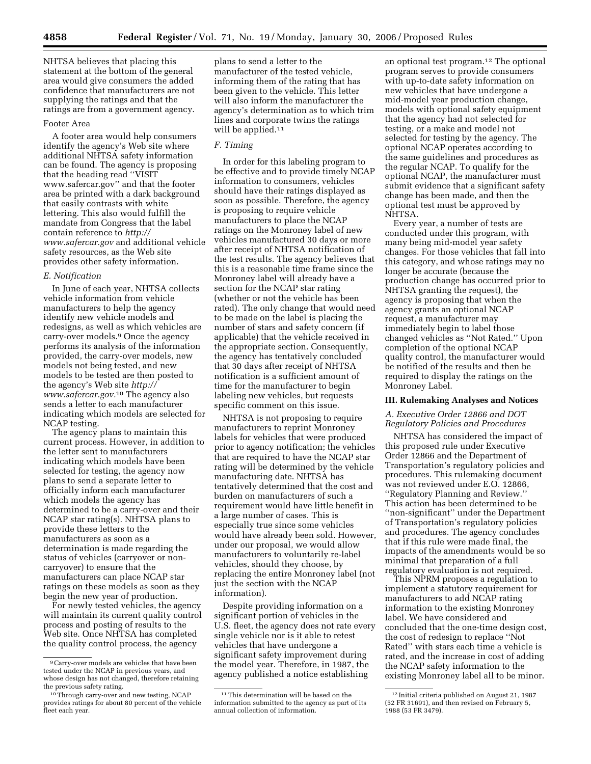NHTSA believes that placing this statement at the bottom of the general area would give consumers the added confidence that manufacturers are not supplying the ratings and that the ratings are from a government agency.

## Footer Area

A footer area would help consumers identify the agency's Web site where additional NHTSA safety information can be found. The agency is proposing that the heading read ''VISIT www.safercar.gov'' and that the footer area be printed with a dark background that easily contrasts with white lettering. This also would fulfill the mandate from Congress that the label contain reference to *http:// www.safercar.gov* and additional vehicle safety resources, as the Web site provides other safety information.

#### *E. Notification*

In June of each year, NHTSA collects vehicle information from vehicle manufacturers to help the agency identify new vehicle models and redesigns, as well as which vehicles are carry-over models.9 Once the agency performs its analysis of the information provided, the carry-over models, new models not being tested, and new models to be tested are then posted to the agency's Web site *http:// www.safercar.gov.*10 The agency also sends a letter to each manufacturer indicating which models are selected for NCAP testing.

The agency plans to maintain this current process. However, in addition to the letter sent to manufacturers indicating which models have been selected for testing, the agency now plans to send a separate letter to officially inform each manufacturer which models the agency has determined to be a carry-over and their NCAP star rating(s). NHTSA plans to provide these letters to the manufacturers as soon as a determination is made regarding the status of vehicles (carryover or noncarryover) to ensure that the manufacturers can place NCAP star ratings on these models as soon as they begin the new year of production.

For newly tested vehicles, the agency will maintain its current quality control process and posting of results to the Web site. Once NHTSA has completed the quality control process, the agency

plans to send a letter to the manufacturer of the tested vehicle, informing them of the rating that has been given to the vehicle. This letter will also inform the manufacturer the agency's determination as to which trim lines and corporate twins the ratings will be applied.<sup>11</sup>

## *F. Timing*

In order for this labeling program to be effective and to provide timely NCAP information to consumers, vehicles should have their ratings displayed as soon as possible. Therefore, the agency is proposing to require vehicle manufacturers to place the NCAP ratings on the Monroney label of new vehicles manufactured 30 days or more after receipt of NHTSA notification of the test results. The agency believes that this is a reasonable time frame since the Monroney label will already have a section for the NCAP star rating (whether or not the vehicle has been rated). The only change that would need to be made on the label is placing the number of stars and safety concern (if applicable) that the vehicle received in the appropriate section. Consequently, the agency has tentatively concluded that 30 days after receipt of NHTSA notification is a sufficient amount of time for the manufacturer to begin labeling new vehicles, but requests specific comment on this issue.

NHTSA is not proposing to require manufacturers to reprint Monroney labels for vehicles that were produced prior to agency notification; the vehicles that are required to have the NCAP star rating will be determined by the vehicle manufacturing date. NHTSA has tentatively determined that the cost and burden on manufacturers of such a requirement would have little benefit in a large number of cases. This is especially true since some vehicles would have already been sold. However, under our proposal, we would allow manufacturers to voluntarily re-label vehicles, should they choose, by replacing the entire Monroney label (not just the section with the NCAP information).

Despite providing information on a significant portion of vehicles in the U.S. fleet, the agency does not rate every single vehicle nor is it able to retest vehicles that have undergone a significant safety improvement during the model year. Therefore, in 1987, the agency published a notice establishing

an optional test program.12 The optional program serves to provide consumers with up-to-date safety information on new vehicles that have undergone a mid-model year production change, models with optional safety equipment that the agency had not selected for testing, or a make and model not selected for testing by the agency. The optional NCAP operates according to the same guidelines and procedures as the regular NCAP. To qualify for the optional NCAP, the manufacturer must submit evidence that a significant safety change has been made, and then the optional test must be approved by NHTSA.

Every year, a number of tests are conducted under this program, with many being mid-model year safety changes. For those vehicles that fall into this category, and whose ratings may no longer be accurate (because the production change has occurred prior to NHTSA granting the request), the agency is proposing that when the agency grants an optional NCAP request, a manufacturer may immediately begin to label those changed vehicles as ''Not Rated.'' Upon completion of the optional NCAP quality control, the manufacturer would be notified of the results and then be required to display the ratings on the Monroney Label.

#### **III. Rulemaking Analyses and Notices**

# *A. Executive Order 12866 and DOT Regulatory Policies and Procedures*

NHTSA has considered the impact of this proposed rule under Executive Order 12866 and the Department of Transportation's regulatory policies and procedures. This rulemaking document was not reviewed under E.O. 12866, ''Regulatory Planning and Review.'' This action has been determined to be ''non-significant'' under the Department of Transportation's regulatory policies and procedures. The agency concludes that if this rule were made final, the impacts of the amendments would be so minimal that preparation of a full regulatory evaluation is not required.

This NPRM proposes a regulation to implement a statutory requirement for manufacturers to add NCAP rating information to the existing Monroney label. We have considered and concluded that the one-time design cost, the cost of redesign to replace ''Not Rated'' with stars each time a vehicle is rated, and the increase in cost of adding the NCAP safety information to the existing Monroney label all to be minor.

<sup>9</sup>Carry-over models are vehicles that have been tested under the NCAP in previous years, and whose design has not changed, therefore retaining the previous safety rating.

<sup>10</sup>Through carry-over and new testing, NCAP provides ratings for about 80 percent of the vehicle fleet each year.

<sup>&</sup>lt;sup>11</sup>This determination will be based on the information submitted to the agency as part of its annual collection of information.

<sup>12</sup> Initial criteria published on August 21, 1987 (52 FR 31691), and then revised on February 5, 1988 (53 FR 3479).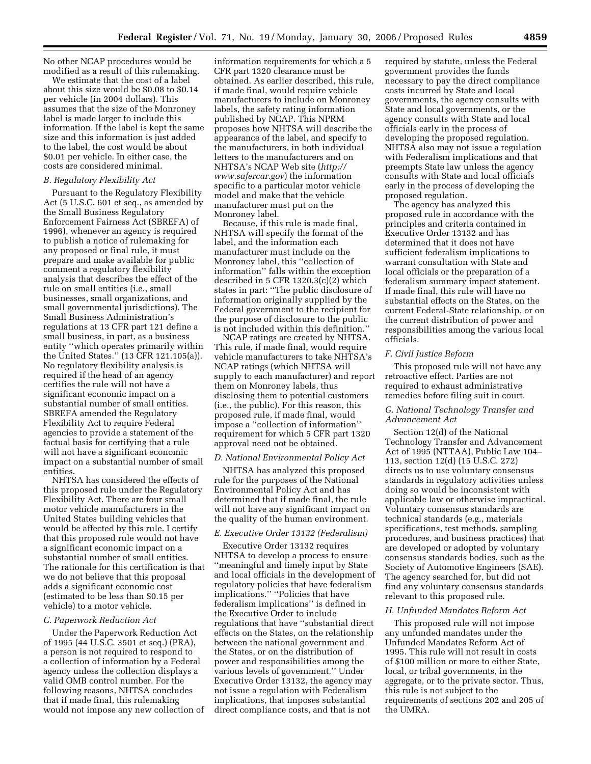No other NCAP procedures would be modified as a result of this rulemaking.

We estimate that the cost of a label about this size would be \$0.08 to \$0.14 per vehicle (in 2004 dollars). This assumes that the size of the Monroney label is made larger to include this information. If the label is kept the same size and this information is just added to the label, the cost would be about \$0.01 per vehicle. In either case, the costs are considered minimal.

#### *B. Regulatory Flexibility Act*

Pursuant to the Regulatory Flexibility Act (5 U.S.C. 601 et seq., as amended by the Small Business Regulatory Enforcement Fairness Act (SBREFA) of 1996), whenever an agency is required to publish a notice of rulemaking for any proposed or final rule, it must prepare and make available for public comment a regulatory flexibility analysis that describes the effect of the rule on small entities (i.e., small businesses, small organizations, and small governmental jurisdictions). The Small Business Administration's regulations at 13 CFR part 121 define a small business, in part, as a business entity ''which operates primarily within the United States.'' (13 CFR 121.105(a)). No regulatory flexibility analysis is required if the head of an agency certifies the rule will not have a significant economic impact on a substantial number of small entities. SBREFA amended the Regulatory Flexibility Act to require Federal agencies to provide a statement of the factual basis for certifying that a rule will not have a significant economic impact on a substantial number of small entities.

NHTSA has considered the effects of this proposed rule under the Regulatory Flexibility Act. There are four small motor vehicle manufacturers in the United States building vehicles that would be affected by this rule. I certify that this proposed rule would not have a significant economic impact on a substantial number of small entities. The rationale for this certification is that we do not believe that this proposal adds a significant economic cost (estimated to be less than \$0.15 per vehicle) to a motor vehicle.

#### *C. Paperwork Reduction Act*

Under the Paperwork Reduction Act of 1995 (44 U.S.C. 3501 et seq.) (PRA), a person is not required to respond to a collection of information by a Federal agency unless the collection displays a valid OMB control number. For the following reasons, NHTSA concludes that if made final, this rulemaking would not impose any new collection of

information requirements for which a 5 CFR part 1320 clearance must be obtained. As earlier described, this rule, if made final, would require vehicle manufacturers to include on Monroney labels, the safety rating information published by NCAP. This NPRM proposes how NHTSA will describe the appearance of the label, and specify to the manufacturers, in both individual letters to the manufacturers and on NHTSA's NCAP Web site (*http:// www.safercar.gov*) the information specific to a particular motor vehicle model and make that the vehicle manufacturer must put on the Monroney label.

Because, if this rule is made final, NHTSA will specify the format of the label, and the information each manufacturer must include on the Monroney label, this ''collection of information'' falls within the exception described in 5 CFR 1320.3(c)(2) which states in part: ''The public disclosure of information originally supplied by the Federal government to the recipient for the purpose of disclosure to the public is not included within this definition.''

NCAP ratings are created by NHTSA. This rule, if made final, would require vehicle manufacturers to take NHTSA's NCAP ratings (which NHTSA will supply to each manufacturer) and report them on Monroney labels, thus disclosing them to potential customers (i.e., the public). For this reason, this proposed rule, if made final, would impose a ''collection of information'' requirement for which 5 CFR part 1320 approval need not be obtained.

#### *D. National Environmental Policy Act*

NHTSA has analyzed this proposed rule for the purposes of the National Environmental Policy Act and has determined that if made final, the rule will not have any significant impact on the quality of the human environment.

#### *E. Executive Order 13132 (Federalism)*

Executive Order 13132 requires NHTSA to develop a process to ensure ''meaningful and timely input by State and local officials in the development of regulatory policies that have federalism implications.'' ''Policies that have federalism implications'' is defined in the Executive Order to include regulations that have ''substantial direct effects on the States, on the relationship between the national government and the States, or on the distribution of power and responsibilities among the various levels of government.'' Under Executive Order 13132, the agency may not issue a regulation with Federalism implications, that imposes substantial direct compliance costs, and that is not

required by statute, unless the Federal government provides the funds necessary to pay the direct compliance costs incurred by State and local governments, the agency consults with State and local governments, or the agency consults with State and local officials early in the process of developing the proposed regulation. NHTSA also may not issue a regulation with Federalism implications and that preempts State law unless the agency consults with State and local officials early in the process of developing the proposed regulation.

The agency has analyzed this proposed rule in accordance with the principles and criteria contained in Executive Order 13132 and has determined that it does not have sufficient federalism implications to warrant consultation with State and local officials or the preparation of a federalism summary impact statement. If made final, this rule will have no substantial effects on the States, on the current Federal-State relationship, or on the current distribution of power and responsibilities among the various local officials.

### *F. Civil Justice Reform*

This proposed rule will not have any retroactive effect. Parties are not required to exhaust administrative remedies before filing suit in court.

# *G. National Technology Transfer and Advancement Act*

Section 12(d) of the National Technology Transfer and Advancement Act of 1995 (NTTAA), Public Law 104– 113, section 12(d) (15 U.S.C. 272) directs us to use voluntary consensus standards in regulatory activities unless doing so would be inconsistent with applicable law or otherwise impractical. Voluntary consensus standards are technical standards (e.g., materials specifications, test methods, sampling procedures, and business practices) that are developed or adopted by voluntary consensus standards bodies, such as the Society of Automotive Engineers (SAE). The agency searched for, but did not find any voluntary consensus standards relevant to this proposed rule.

#### *H. Unfunded Mandates Reform Act*

This proposed rule will not impose any unfunded mandates under the Unfunded Mandates Reform Act of 1995. This rule will not result in costs of \$100 million or more to either State, local, or tribal governments, in the aggregate, or to the private sector. Thus, this rule is not subject to the requirements of sections 202 and 205 of the UMRA.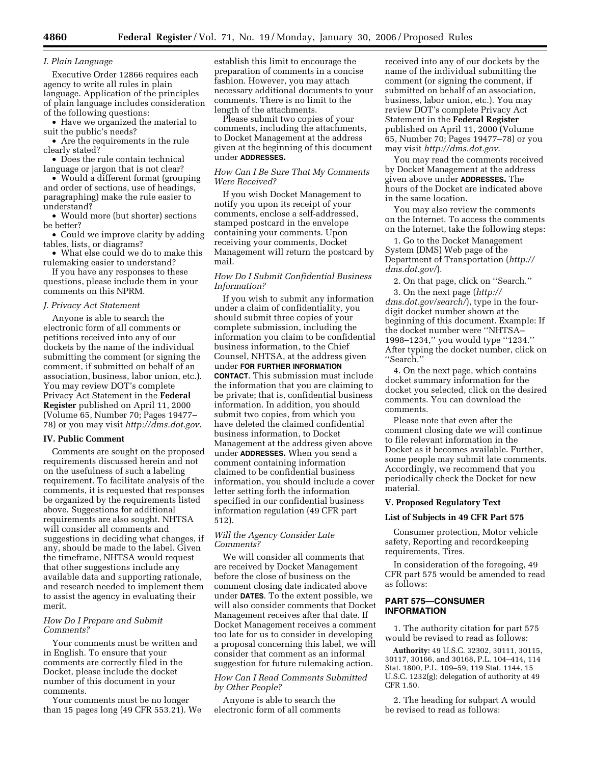# *I. Plain Language*

Executive Order 12866 requires each agency to write all rules in plain language. Application of the principles of plain language includes consideration of the following questions:

• Have we organized the material to suit the public's needs?

• Are the requirements in the rule clearly stated?

• Does the rule contain technical language or jargon that is not clear?

• Would a different format (grouping and order of sections, use of headings, paragraphing) make the rule easier to understand?

• Would more (but shorter) sections be better?

• Could we improve clarity by adding tables, lists, or diagrams?

• What else could we do to make this rulemaking easier to understand?

If you have any responses to these questions, please include them in your comments on this NPRM.

## *J. Privacy Act Statement*

Anyone is able to search the electronic form of all comments or petitions received into any of our dockets by the name of the individual submitting the comment (or signing the comment, if submitted on behalf of an association, business, labor union, etc.). You may review DOT's complete Privacy Act Statement in the **Federal Register** published on April 11, 2000 (Volume 65, Number 70; Pages 19477– 78) or you may visit *http://dms.dot.gov*.

#### **IV. Public Comment**

Comments are sought on the proposed requirements discussed herein and not on the usefulness of such a labeling requirement. To facilitate analysis of the comments, it is requested that responses be organized by the requirements listed above. Suggestions for additional requirements are also sought. NHTSA will consider all comments and suggestions in deciding what changes, if any, should be made to the label. Given the timeframe, NHTSA would request that other suggestions include any available data and supporting rationale, and research needed to implement them to assist the agency in evaluating their merit.

#### *How Do I Prepare and Submit Comments?*

Your comments must be written and in English. To ensure that your comments are correctly filed in the Docket, please include the docket number of this document in your comments.

Your comments must be no longer than 15 pages long (49 CFR 553.21). We establish this limit to encourage the preparation of comments in a concise fashion. However, you may attach necessary additional documents to your comments. There is no limit to the length of the attachments.

Please submit two copies of your comments, including the attachments, to Docket Management at the address given at the beginning of this document under **ADDRESSES.** 

## *How Can I Be Sure That My Comments Were Received?*

If you wish Docket Management to notify you upon its receipt of your comments, enclose a self-addressed, stamped postcard in the envelope containing your comments. Upon receiving your comments, Docket Management will return the postcard by mail.

## *How Do I Submit Confidential Business Information?*

If you wish to submit any information under a claim of confidentiality, you should submit three copies of your complete submission, including the information you claim to be confidential business information, to the Chief Counsel, NHTSA, at the address given under **FOR FURTHER INFORMATION CONTACT**. This submission must include the information that you are claiming to be private; that is, confidential business information. In addition, you should submit two copies, from which you have deleted the claimed confidential business information, to Docket Management at the address given above under **ADDRESSES.** When you send a comment containing information claimed to be confidential business information, you should include a cover letter setting forth the information specified in our confidential business information regulation (49 CFR part 512).

# *Will the Agency Consider Late Comments?*

We will consider all comments that are received by Docket Management before the close of business on the comment closing date indicated above under **DATES**. To the extent possible, we will also consider comments that Docket Management receives after that date. If Docket Management receives a comment too late for us to consider in developing a proposal concerning this label, we will consider that comment as an informal suggestion for future rulemaking action.

# *How Can I Read Comments Submitted by Other People?*

Anyone is able to search the electronic form of all comments received into any of our dockets by the name of the individual submitting the comment (or signing the comment, if submitted on behalf of an association, business, labor union, etc.). You may review DOT's complete Privacy Act Statement in the **Federal Register**  published on April 11, 2000 (Volume 65, Number 70; Pages 19477–78) or you may visit *http://dms.dot.gov*.

You may read the comments received by Docket Management at the address given above under **ADDRESSES.** The hours of the Docket are indicated above in the same location.

You may also review the comments on the Internet. To access the comments on the Internet, take the following steps:

1. Go to the Docket Management System (DMS) Web page of the Department of Transportation (*http:// dms.dot.gov/*).

2. On that page, click on ''Search.''

3. On the next page (*http:// dms.dot.gov/search/*), type in the fourdigit docket number shown at the beginning of this document. Example: If the docket number were ''NHTSA– 1998–1234,'' you would type ''1234.'' After typing the docket number, click on ''Search.''

4. On the next page, which contains docket summary information for the docket you selected, click on the desired comments. You can download the comments.

Please note that even after the comment closing date we will continue to file relevant information in the Docket as it becomes available. Further, some people may submit late comments. Accordingly, we recommend that you periodically check the Docket for new material.

## **V. Proposed Regulatory Text**

#### **List of Subjects in 49 CFR Part 575**

Consumer protection, Motor vehicle safety, Reporting and recordkeeping requirements, Tires.

In consideration of the foregoing, 49 CFR part 575 would be amended to read as follows:

# **PART 575—CONSUMER INFORMATION**

1. The authority citation for part 575 would be revised to read as follows:

**Authority:** 49 U.S.C. 32302, 30111, 30115, 30117, 30166, and 30168, P.L. 104–414, 114 Stat. 1800, P.L. 109–59, 119 Stat. 1144, 15 U.S.C. 1232(g); delegation of authority at 49 CFR 1.50.

2. The heading for subpart A would be revised to read as follows: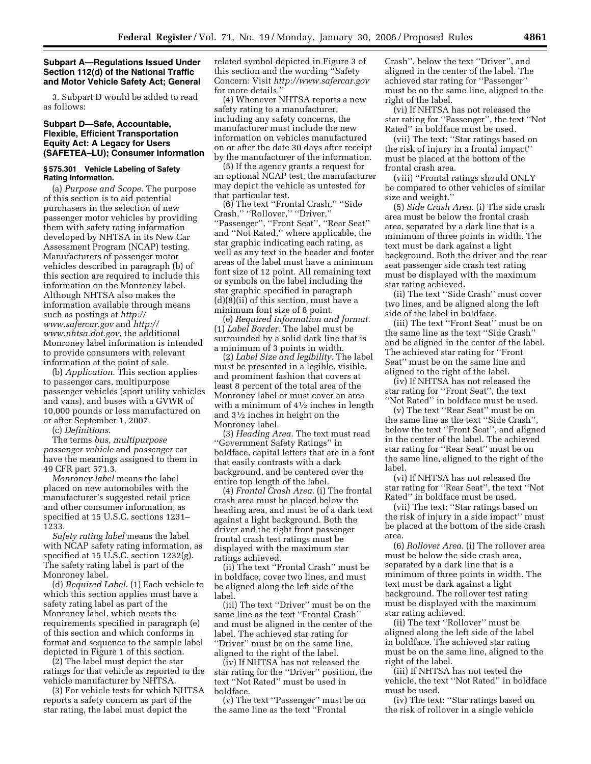## **Subpart A—Regulations Issued Under Section 112(d) of the National Traffic and Motor Vehicle Safety Act; General**

3. Subpart D would be added to read as follows:

# **Subpart D—Safe, Accountable, Flexible, Efficient Transportation Equity Act: A Legacy for Users (SAFETEA–LU); Consumer Information**

#### **§ 575.301 Vehicle Labeling of Safety Rating Information.**

(a) *Purpose and Scope.* The purpose of this section is to aid potential purchasers in the selection of new passenger motor vehicles by providing them with safety rating information developed by NHTSA in its New Car Assessment Program (NCAP) testing. Manufacturers of passenger motor vehicles described in paragraph (b) of this section are required to include this information on the Monroney label. Although NHTSA also makes the information available through means such as postings at *http:// www.safercar.gov* and *http:// www.nhtsa.dot.gov*, the additional Monroney label information is intended to provide consumers with relevant information at the point of sale.

(b) *Application.* This section applies to passenger cars, multipurpose passenger vehicles (sport utility vehicles and vans), and buses with a GVWR of 10,000 pounds or less manufactured on or after September 1, 2007.

(c) *Definitions.* 

The terms *bus, multipurpose passenger vehicle* and *passenger* car have the meanings assigned to them in 49 CFR part 571.3.

*Monroney label* means the label placed on new automobiles with the manufacturer's suggested retail price and other consumer information, as specified at 15 U.S.C. sections 1231– 1233.

*Safety rating label* means the label with NCAP safety rating information, as specified at 15 U.S.C. section 1232(g). The safety rating label is part of the Monroney label.

(d) *Required Label.* (1) Each vehicle to which this section applies must have a safety rating label as part of the Monroney label, which meets the requirements specified in paragraph (e) of this section and which conforms in format and sequence to the sample label depicted in Figure 1 of this section.

(2) The label must depict the star ratings for that vehicle as reported to the vehicle manufacturer by NHTSA.

(3) For vehicle tests for which NHTSA reports a safety concern as part of the star rating, the label must depict the

related symbol depicted in Figure 3 of this section and the wording ''Safety Concern: Visit *http://www.safercar.gov*  for more details.''

(4) Whenever NHTSA reports a new safety rating to a manufacturer, including any safety concerns, the manufacturer must include the new information on vehicles manufactured on or after the date 30 days after receipt by the manufacturer of the information.

(5) If the agency grants a request for an optional NCAP test, the manufacturer may depict the vehicle as untested for that particular test.

(6) The text ''Frontal Crash,'' ''Side Crash,'' ''Rollover,'' ''Driver,'' ''Passenger'', ''Front Seat'', ''Rear Seat'' and ''Not Rated,'' where applicable, the star graphic indicating each rating, as well as any text in the header and footer areas of the label must have a minimum font size of 12 point. All remaining text or symbols on the label including the star graphic specified in paragraph (d)(8)(ii) of this section, must have a minimum font size of 8 point.

(e) *Required information and format.*  (1) *Label Border.* The label must be surrounded by a solid dark line that is a minimum of 3 points in width.

(2) *Label Size and legibility.* The label must be presented in a legible, visible, and prominent fashion that covers at least 8 percent of the total area of the Monroney label or must cover an area with a minimum of  $4\frac{1}{2}$  inches in length and 31⁄2 inches in height on the Monroney label.

(3) *Heading Area.* The text must read ''Government Safety Ratings'' in boldface, capital letters that are in a font that easily contrasts with a dark background, and be centered over the entire top length of the label.

(4) *Frontal Crash Area.* (i) The frontal crash area must be placed below the heading area, and must be of a dark text against a light background. Both the driver and the right front passenger frontal crash test ratings must be displayed with the maximum star ratings achieved.

(ii) The text ''Frontal Crash'' must be in boldface, cover two lines, and must be aligned along the left side of the label.

(iii) The text ''Driver'' must be on the same line as the text ''Frontal Crash'' and must be aligned in the center of the label. The achieved star rating for ''Driver'' must be on the same line, aligned to the right of the label.

(iv) If NHTSA has not released the star rating for the ''Driver'' position, the text ''Not Rated'' must be used in boldface.

(v) The text ''Passenger'' must be on the same line as the text ''Frontal

Crash'', below the text ''Driver'', and aligned in the center of the label. The achieved star rating for ''Passenger'' must be on the same line, aligned to the right of the label.

(vi) If NHTSA has not released the star rating for ''Passenger'', the text ''Not Rated'' in boldface must be used.

(vii) The text: ''Star ratings based on the risk of injury in a frontal impact'' must be placed at the bottom of the frontal crash area.

(viii) ''Frontal ratings should ONLY be compared to other vehicles of similar size and weight.''

(5) *Side Crash Area.* (i) The side crash area must be below the frontal crash area, separated by a dark line that is a minimum of three points in width. The text must be dark against a light background. Both the driver and the rear seat passenger side crash test rating must be displayed with the maximum star rating achieved.

(ii) The text ''Side Crash'' must cover two lines, and be aligned along the left side of the label in boldface.

(iii) The text ''Front Seat'' must be on the same line as the text ''Side Crash'' and be aligned in the center of the label. The achieved star rating for ''Front Seat'' must be on the same line and aligned to the right of the label.

(iv) If NHTSA has not released the star rating for ''Front Seat'', the text ''Not Rated'' in boldface must be used.

(v) The text ''Rear Seat'' must be on the same line as the text ''Side Crash'', below the text ''Front Seat'', and aligned in the center of the label. The achieved star rating for ''Rear Seat'' must be on the same line, aligned to the right of the label.

(vi) If NHTSA has not released the star rating for ''Rear Seat'', the text ''Not Rated'' in boldface must be used.

(vii) The text: ''Star ratings based on the risk of injury in a side impact'' must be placed at the bottom of the side crash area.

(6) *Rollover Area.* (i) The rollover area must be below the side crash area, separated by a dark line that is a minimum of three points in width. The text must be dark against a light background. The rollover test rating must be displayed with the maximum star rating achieved.

(ii) The text ''Rollover'' must be aligned along the left side of the label in boldface. The achieved star rating must be on the same line, aligned to the right of the label.

(iii) If NHTSA has not tested the vehicle, the text ''Not Rated'' in boldface must be used.

(iv) The text: ''Star ratings based on the risk of rollover in a single vehicle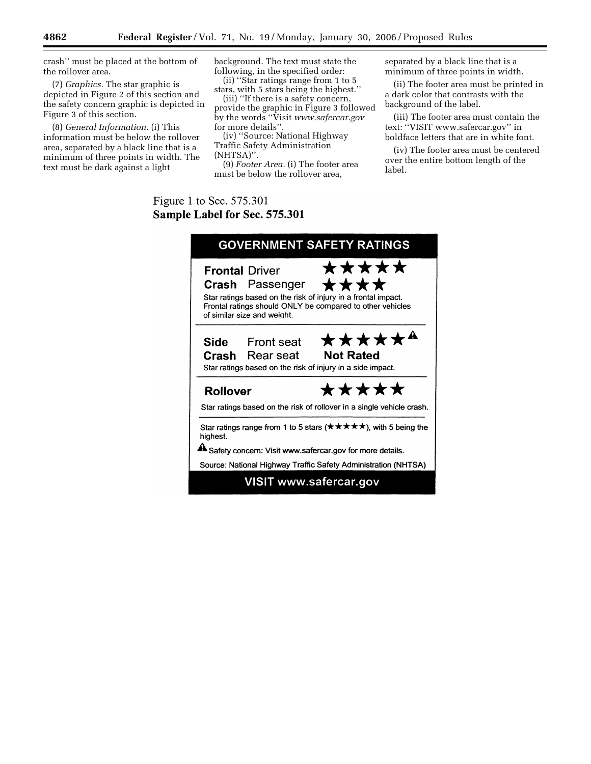crash'' must be placed at the bottom of the rollover area.

(7) *Graphics.* The star graphic is depicted in Figure 2 of this section and the safety concern graphic is depicted in Figure 3 of this section.

(8) *General Information.* (i) This information must be below the rollover area, separated by a black line that is a minimum of three points in width. The text must be dark against a light

background. The text must state the following, in the specified order: (ii) ''Star ratings range from 1 to 5

stars, with 5 stars being the highest.''

(iii) ''If there is a safety concern, provide the graphic in Figure 3 followed by the words ''Visit *www.safercar.gov*  for more details'

(iv) ''Source: National Highway Traffic Safety Administration (NHTSA)''.

(9) *Footer Area.* (i) The footer area must be below the rollover area,

separated by a black line that is a minimum of three points in width.

(ii) The footer area must be printed in a dark color that contrasts with the background of the label.

(iii) The footer area must contain the text: ''VISIT www.safercar.gov'' in boldface letters that are in white font.

(iv) The footer area must be centered over the entire bottom length of the label.

# Figure 1 to Sec. 575.301 Sample Label for Sec. 575.301

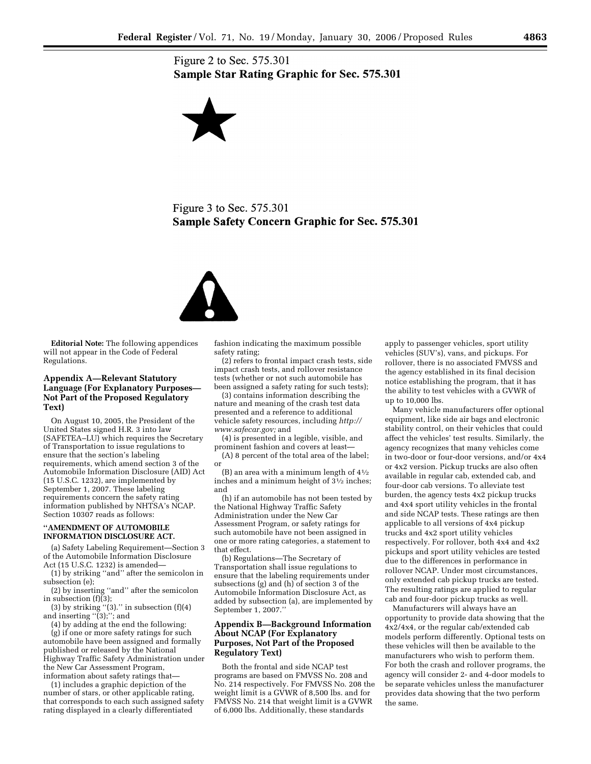Figure 2 to Sec. 575.301 **Sample Star Rating Graphic for Sec. 575.301** 



Figure 3 to Sec. 575.301 **Sample Safety Concern Graphic for Sec. 575.301** 



**Editorial Note:** The following appendices will not appear in the Code of Federal Regulations.

# **Appendix A—Relevant Statutory Language (For Explanatory Purposes— Not Part of the Proposed Regulatory Text)**

On August 10, 2005, the President of the United States signed H.R. 3 into law (SAFETEA–LU) which requires the Secretary of Transportation to issue regulations to ensure that the section's labeling requirements, which amend section 3 of the Automobile Information Disclosure (AID) Act (15 U.S.C. 1232), are implemented by September 1, 2007. These labeling requirements concern the safety rating information published by NHTSA's NCAP. Section 10307 reads as follows:

# **''AMENDMENT OF AUTOMOBILE INFORMATION DISCLOSURE ACT.**

(a) Safety Labeling Requirement—Section 3 of the Automobile Information Disclosure Act (15 U.S.C. 1232) is amended—

(1) by striking ''and'' after the semicolon in subsection (e);

(2) by inserting ''and'' after the semicolon in subsection  $(f)(3)$ ;

(3) by striking  $(3)$ ." in subsection  $(f)(4)$ and inserting "(3);"; and

(4) by adding at the end the following: (g) if one or more safety ratings for such automobile have been assigned and formally published or released by the National Highway Traffic Safety Administration under the New Car Assessment Program, information about safety ratings that—

(1) includes a graphic depiction of the number of stars, or other applicable rating, that corresponds to each such assigned safety rating displayed in a clearly differentiated

fashion indicating the maximum possible safety rating;

(2) refers to frontal impact crash tests, side impact crash tests, and rollover resistance tests (whether or not such automobile has been assigned a safety rating for such tests);

(3) contains information describing the nature and meaning of the crash test data presented and a reference to additional vehicle safety resources, including *http:// www.safecar.gov;* and

(4) is presented in a legible, visible, and prominent fashion and covers at least—

(A) 8 percent of the total area of the label; or

(B) an area with a minimum length of  $4\frac{1}{2}$ inches and a minimum height of 31⁄2 inches; and

(h) if an automobile has not been tested by the National Highway Traffic Safety Administration under the New Car Assessment Program, or safety ratings for such automobile have not been assigned in one or more rating categories, a statement to that effect.

(b) Regulations—The Secretary of Transportation shall issue regulations to ensure that the labeling requirements under subsections (g) and (h) of section 3 of the Automobile Information Disclosure Act, as added by subsection (a), are implemented by September 1, 2007.''

# **Appendix B—Background Information About NCAP (For Explanatory Purposes, Not Part of the Proposed Regulatory Text)**

Both the frontal and side NCAP test programs are based on FMVSS No. 208 and No. 214 respectively. For FMVSS No. 208 the weight limit is a GVWR of 8,500 lbs. and for FMVSS No. 214 that weight limit is a GVWR of 6,000 lbs. Additionally, these standards

apply to passenger vehicles, sport utility vehicles (SUV's), vans, and pickups. For rollover, there is no associated FMVSS and the agency established in its final decision notice establishing the program, that it has the ability to test vehicles with a GVWR of up to 10,000 lbs.

Many vehicle manufacturers offer optional equipment, like side air bags and electronic stability control, on their vehicles that could affect the vehicles' test results. Similarly, the agency recognizes that many vehicles come in two-door or four-door versions, and/or 4x4 or 4x2 version. Pickup trucks are also often available in regular cab, extended cab, and four-door cab versions. To alleviate test burden, the agency tests 4x2 pickup trucks and 4x4 sport utility vehicles in the frontal and side NCAP tests. These ratings are then applicable to all versions of 4x4 pickup trucks and 4x2 sport utility vehicles respectively. For rollover, both 4x4 and 4x2 pickups and sport utility vehicles are tested due to the differences in performance in rollover NCAP. Under most circumstances, only extended cab pickup trucks are tested. The resulting ratings are applied to regular cab and four-door pickup trucks as well.

Manufacturers will always have an opportunity to provide data showing that the 4x2/4x4, or the regular cab/extended cab models perform differently. Optional tests on these vehicles will then be available to the manufacturers who wish to perform them. For both the crash and rollover programs, the agency will consider 2- and 4-door models to be separate vehicles unless the manufacturer provides data showing that the two perform the same.